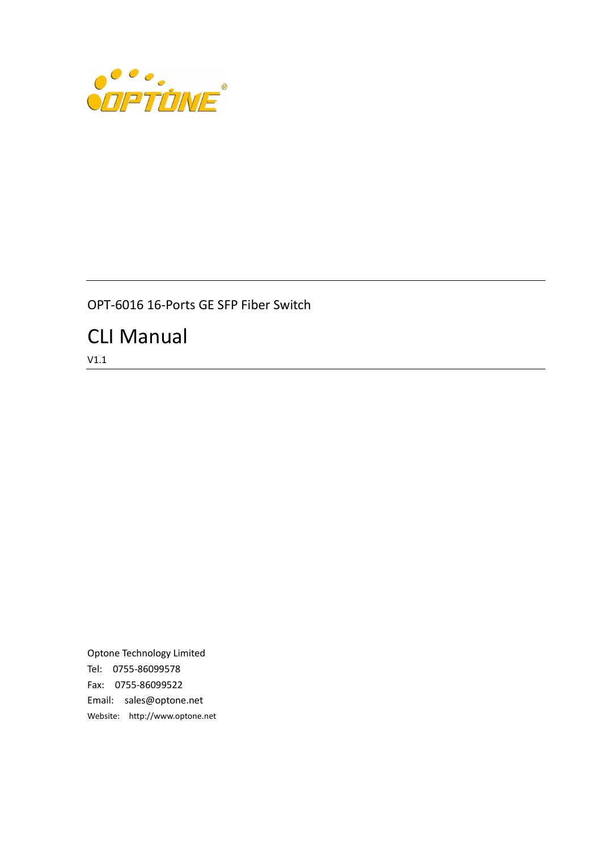

### OPT-6016 16-Ports GE SFP Fiber Switch

# CLI Manual

V1.1

Optone Technology Limited Tel: 0755-86099578 Fax: 0755-86099522 Email: sales@optone.net Website: http://www.optone.net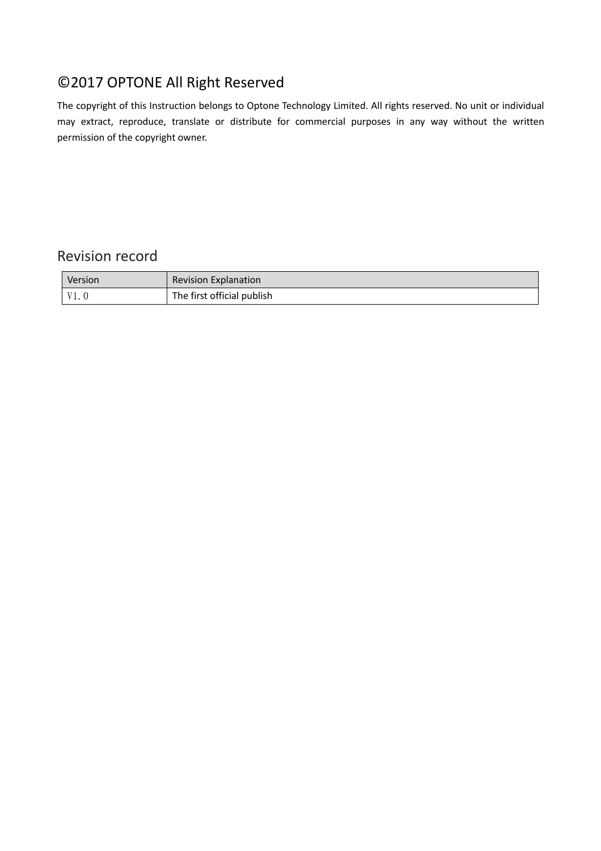## ©2017 OPTONE All Right Reserved

The copyright of this Instruction belongs to Optone Technology Limited. All rights reserved. No unit or individual may extract, reproduce, translate or distribute for commercial purposes in any way without the written permission of the copyright owner.

### Revision record

| Version | <b>Revision Explanation</b> |
|---------|-----------------------------|
| V1. 0   | The first official publish  |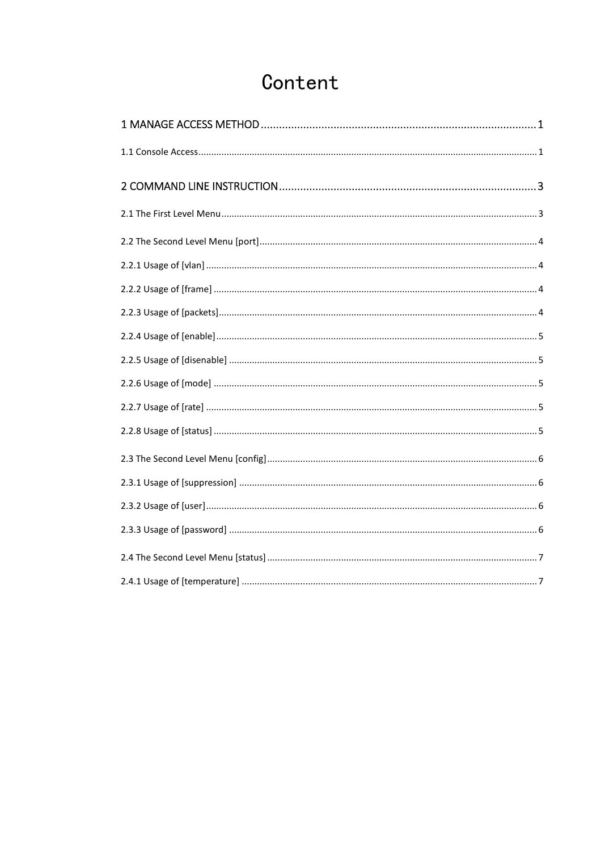# Content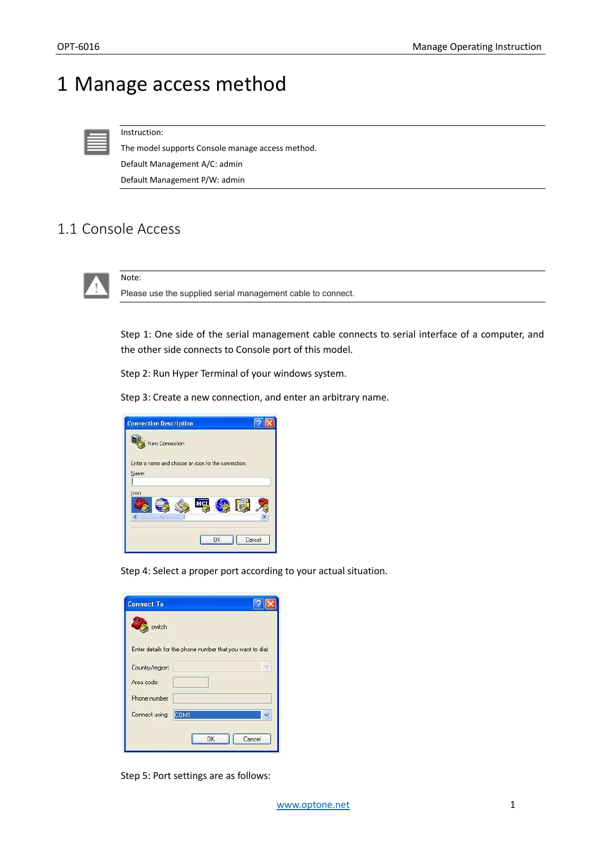# 1 Manage access method

Instruction:

The model supports Console manage access method. Default Management A/C: admin Default Management P/W: admin

## 1.1 Console Access

Note:



Please use the supplied serial management cable to connect.

Step 1: One side of the serial management cable connects to serial interface of a computer, and the other side connects to Console port of this model.

Step 2: Run Hyper Terminal of your windows system.

Step 3: Create a new connection, and enter an arbitrary name.

| <b>Connection Description</b>                       |        |
|-----------------------------------------------------|--------|
| New Connection                                      |        |
| Enter a name and choose an icon for the connection: |        |
| Name:                                               |        |
|                                                     |        |
| Icon:                                               |        |
| MG                                                  |        |
| Ш                                                   |        |
|                                                     |        |
| <b>OK</b>                                           | Cancel |
|                                                     |        |

Step 4: Select a proper port according to your actual situation.

| <b>Connect To</b> |                                                           |
|-------------------|-----------------------------------------------------------|
| switch            |                                                           |
|                   | Enter details for the phone number that you want to dial: |
| Country/region:   |                                                           |
| Area code:        |                                                           |
| Phone number:     |                                                           |
| Connect using:    | COM1                                                      |
|                   |                                                           |
|                   | <b>OK</b><br>Cancel                                       |

Step 5: Port settings are as follows: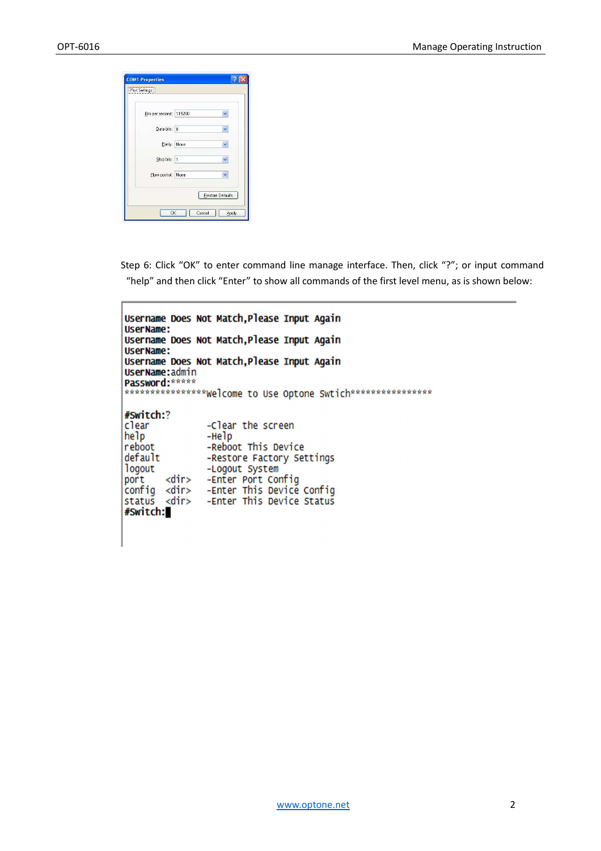| Bits per second: 115200 |                  |
|-------------------------|------------------|
| Data bits: 8            |                  |
| Parity: None            |                  |
| Stop bits: 1            |                  |
| Flow control: None      |                  |
|                         | Restore Defaults |

Step 6: Click "OK" to enter command line manage interface. Then, click "?"; or input command "help" and then click "Enter" to show all commands of the first level menu, as is shown below:

```
Username Does Not Match, Please Input Again
UserName:
Username Does Not Match, Please Input Again
UserName:
Username Does Not Match, Please Input Again
UserName:admin
Password: *****
***************Welcome to Use Optone Swtich*****************
#Switch:?
clear<br>help
                -Clear the screen
                -Helpreboot
                -Reboot This Device
default
                -Restore Factory Settings
logout
                -Logout System
        <dir> -Enter Port Config
port
config <dir>
               -Enter This Device Config
                -Enter This Device Status
status <dir>
#Switch:
```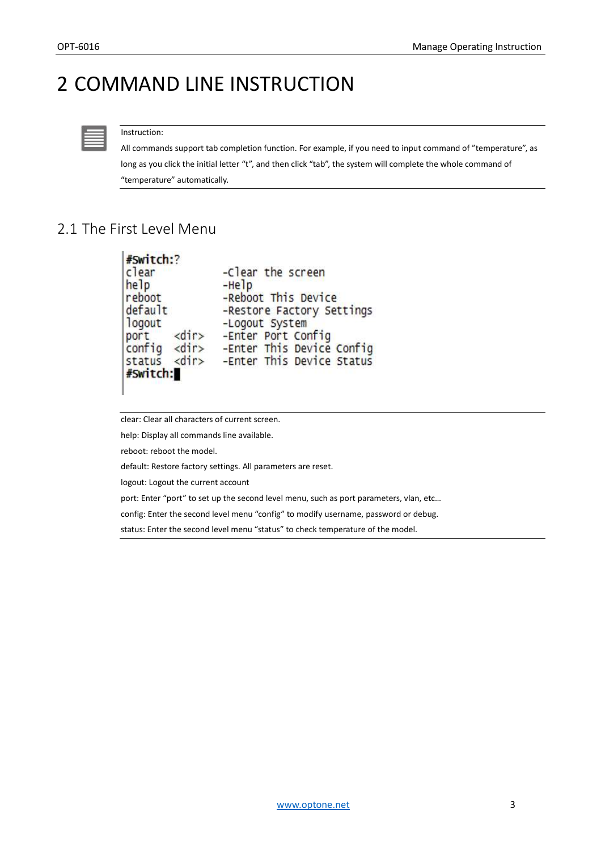# 2 COMMAND LINE INSTRUCTION



#### Instruction:

All commands support tab completion function. For example, if you need to input command of "temperature", as long as you click the initial letter "t", and then click "tab", the system will complete the whole command of "temperature" automatically.

### 2.1 The First Level Menu

| #Switch:?            |                           |
|----------------------|---------------------------|
| clear                | -Clear the screen         |
| help                 | $-Help$                   |
| reboot               | -Reboot This Device       |
| default              | -Restore Factory Settings |
| logout               | -Logout System            |
| port <dir></dir>     | -Enter Port Config        |
| $config$ <dir></dir> | -Enter This Device Config |
| status <dir></dir>   | -Enter This Device Status |
| #Switch:             |                           |

clear: Clear all characters of current screen.

help: Display all commands line available.

reboot: reboot the model.

default: Restore factory settings. All parameters are reset.

logout: Logout the current account

port: Enter "port" to set up the second level menu, such as port parameters, vlan, etc...

config: Enter the second level menu "config" to modify username, password or debug.

status: Enter the second level menu "status" to check temperature of the model.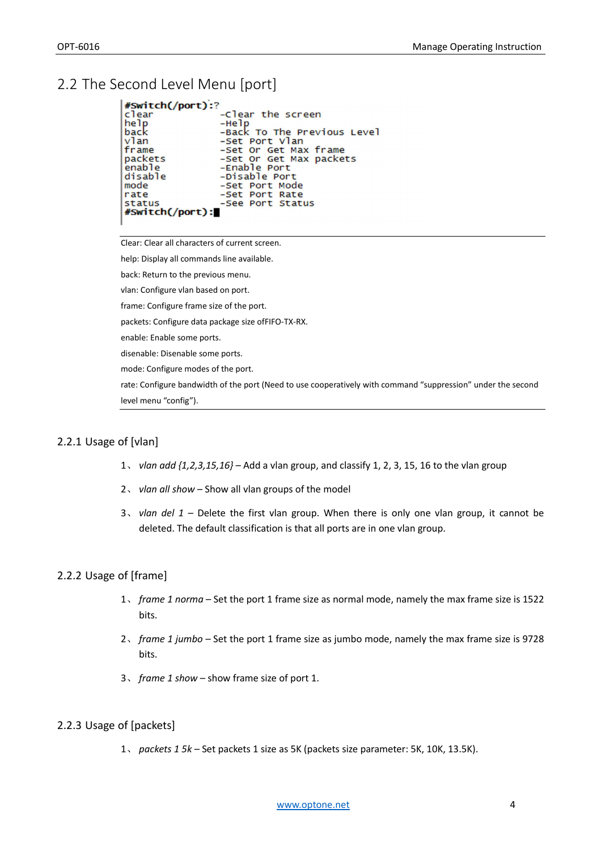## 2.2 The Second Level Menu [port]

| #Switch(/port):? |                             |
|------------------|-----------------------------|
| clear            | -Clear the screen           |
| help             | $-Help$                     |
| back             | -Back To The Previous Level |
| vlan             | -Set Port Vlan              |
| frame            | -Set Or Get Max frame       |
| packets          | -Set Or Get Max packets     |
| enable           | $-$ Enable Port             |
| disable          | -Disable Port               |
| mode             | -Set Port Mode              |
| rate             | -Set Port Rate              |
| <b>status</b>    | -See Port Status            |
| #Switch(/port):  |                             |
|                  |                             |

Clear: Clear all characters of current screen.

help: Display all commands line available.

back: Return to the previous menu.

vlan: Configure vlan based on port.

frame: Configure frame size of the port.

packets: Configure data package size ofFIFO-TX-RX.

enable: Enable some ports.

disenable: Disenable some ports.

mode: Configure modes of the port.

rate: Configure bandwidth of the port (Need to use cooperatively with command "suppression" under the second level menu "config").

#### 2.2.1 Usage of [vlan]

- 1、 *vlan add {1,2,3,15,16}*  Add a vlan group, and classify 1, 2, 3, 15, 16 to the vlan group
- 2、 *vlan all show*  Show all vlan groups of the model
- 3、 *vlan del 1* Delete the first vlan group. When there is only one vlan group, it cannot be deleted. The default classification is that all ports are in one vlan group.

#### 2.2.2 Usage of [frame]

- 1、 *frame 1 norma* Set the port 1 frame size as normal mode, namely the max frame size is 1522 bits.
- 2、 *frame 1 jumbo* Set the port 1 frame size as jumbo mode, namely the max frame size is 9728 bits.
- 3、 *frame 1 show* show frame size of port 1.

#### 2.2.3 Usage of [packets]

1、 *packets 1 5k –* Set packets 1 size as 5K (packets size parameter: 5K, 10K, 13.5K).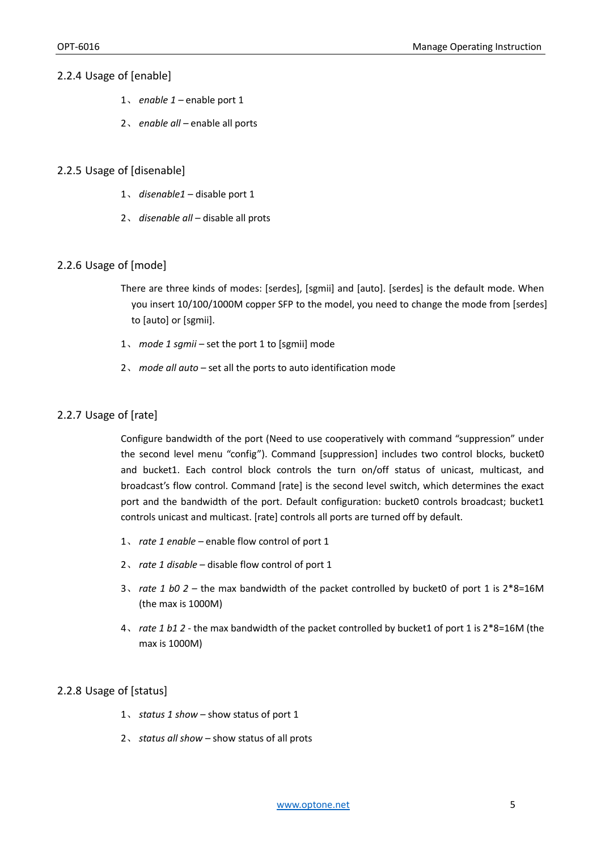#### 2.2.4 Usage of [enable]

- 1、 *enable 1* enable port 1
- 2、 *enable all* enable all ports

#### 2.2.5 Usage of [disenable]

- 1、 *disenable1* disable port 1
- 2、 *disenable all* disable all prots

#### 2.2.6 Usage of [mode]

There are three kinds of modes: [serdes], [sgmii] and [auto]. [serdes] is the default mode. When you insert 10/100/1000M copper SFP to the model, you need to change the mode from [serdes] to [auto] or [sgmii].

- 1、 *mode 1 sgmii* set the port 1 to [sgmii] mode
- 2、 *mode all auto –* set all the ports to auto identification mode

#### 2.2.7 Usage of [rate]

Configure bandwidth of the port (Need to use cooperatively with command "suppression" under the second level menu "config"). Command [suppression] includes two control blocks, bucket0 and bucket1. Each control block controls the turn on/off status of unicast, multicast, and broadcast's flow control. Command [rate] is the second level switch, which determines the exact port and the bandwidth of the port. Default configuration: bucket0 controls broadcast; bucket1 controls unicast and multicast. [rate] controls all ports are turned off by default.

- 1、 *rate 1 enable* enable flow control of port 1
- 2、 *rate 1 disable* disable flow control of port 1
- 3、 *rate 1 b0 2* the max bandwidth of the packet controlled by bucket0 of port 1 is 2\*8=16M (the max is 1000M)
- 4、 *rate 1 b1 2 -* the max bandwidth of the packet controlled by bucket1 of port 1 is 2\*8=16M (the max is 1000M)

#### 2.2.8 Usage of [status]

- 1、 *status 1 show* show status of port 1
- 2、 *status all show* show status of all prots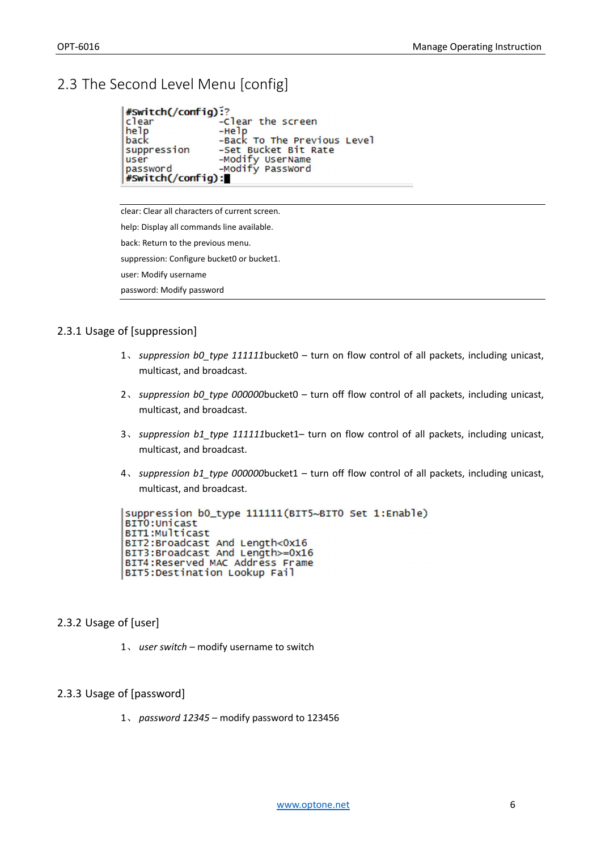## 2.3 The Second Level Menu [config]

```
#Switch(/config):?
                     -Clear the screen
clear
he<sub>lp</sub>
                     -Help<br>-Back To The Previous Level
                     -Set Bucket Bit Rate
suppression
                     -Modify UserName<br>-Modify Password
user
password
#Switch(/config):
```
clear: Clear all characters of current screen. help: Display all commands line available. back: Return to the previous menu. suppression: Configure bucket0 or bucket1. user: Modify username password: Modify password

#### 2.3.1 Usage of [suppression]

- 1、 *suppression b0\_type 111111*bucket0 turn on flow control of all packets, including unicast, multicast, and broadcast.
- 2、 *suppression b0\_type 000000*bucket0 turn off flow control of all packets, including unicast, multicast, and broadcast.
- 3、 *suppression b1\_type 111111*bucket1– turn on flow control of all packets, including unicast, multicast, and broadcast.
- 4、 *suppression b1\_type 000000*bucket1 turn off flow control of all packets, including unicast, multicast, and broadcast.

```
suppression b0_type 111111(BIT5~BITO Set 1:Enable)
BITO: Unicast
BIT1:Multicast
BIT2:Broadcast And Length<0x16
BIT3:Broadcast And Length>=0x16
BIT4:Reserved MAC Address Frame
BIT5:Destination Lookup Fail
```
#### 2.3.2 Usage of [user]

1、 *user switch –* modify username to switch

#### 2.3.3 Usage of [password]

1、 *password 12345 –* modify password to 123456